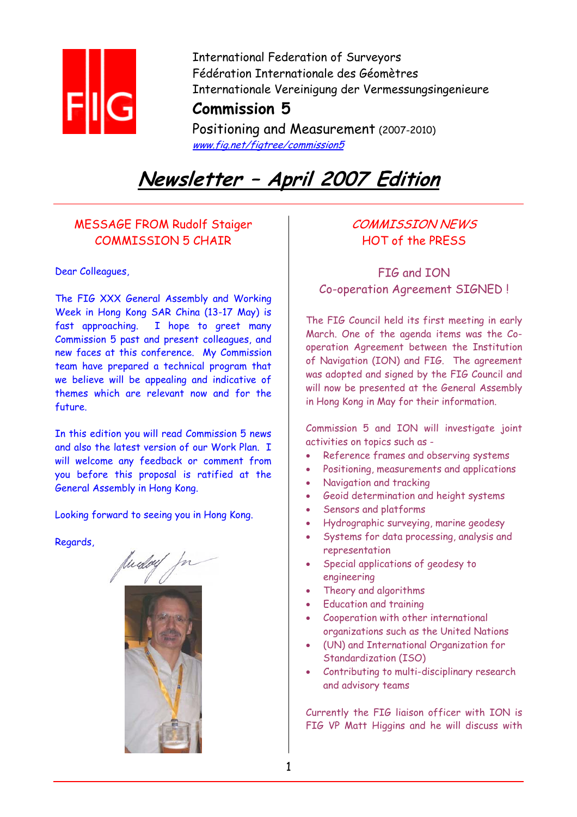

International Federation of Surveyors Fédération Internationale des Géomètres Internationale Vereinigung der Vermessungsingenieure

# **Commission 5**

Positioning and Measurement (2007-2010) www.fig.net/figtree/commission5

# **Newsletter – April 2007 Edition**

# MESSAGE FROM Rudolf Staiger COMMISSION 5 CHAIR

### Dear Colleagues,

The FIG XXX General Assembly and Working Week in Hong Kong SAR China (13-17 May) is fast approaching. I hope to greet many Commission 5 past and present colleagues, and new faces at this conference. My Commission team have prepared a technical program that we believe will be appealing and indicative of themes which are relevant now and for the future.

In this edition you will read Commission 5 news and also the latest version of our Work Plan. I will welcome any feedback or comment from you before this proposal is ratified at the General Assembly in Hong Kong.

Looking forward to seeing you in Hong Kong.

Regards,



# COMMISSION NEWS HOT of the PRESS

FIG and ION Co-operation Agreement SIGNED !

The FIG Council held its first meeting in early March. One of the agenda items was the Cooperation Agreement between the Institution of Navigation (ION) and FIG. The agreement was adopted and signed by the FIG Council and will now be presented at the General Assembly in Hong Kong in May for their information.

Commission 5 and ION will investigate joint activities on topics such as -

- Reference frames and observing systems
- Positioning, measurements and applications
- Navigation and tracking
- Geoid determination and height systems
- Sensors and platforms
- Hydrographic surveying, marine geodesy
- Systems for data processing, analysis and representation
- Special applications of geodesy to engineering
- Theory and algorithms
- Education and training
- Cooperation with other international organizations such as the United Nations
- (UN) and International Organization for Standardization (ISO)
- Contributing to multi-disciplinary research and advisory teams

Currently the FIG liaison officer with ION is FIG VP Matt Higgins and he will discuss with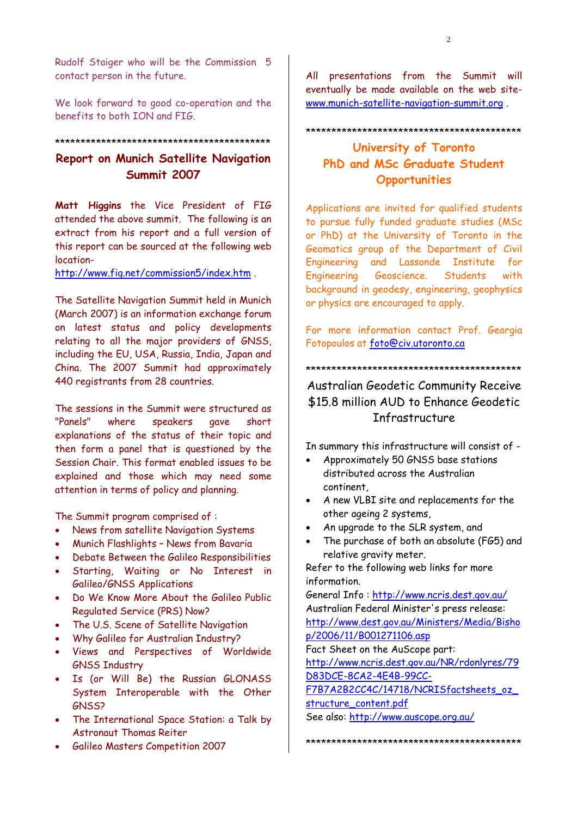Rudolf Staiger who will be the Commission 5 contact person in the future.

We look forward to good co-operation and the benefits to both ION and FIG.

# \*\*\*\*\*\*\*\*\*\*\*\*\*\*\*\*\*\*\*\*\*\*\*\*\*\*\*\*\*\*\*\*\*\*\*\*\*\*\*\*\*\*

# **Report on Munich Satellite Navigation Summit 2007**

**Matt Higgins** the Vice President of FIG attended the above summit. The following is an extract from his report and a full version of this report can be sourced at the following web location-

http://www.fig.net/commission5/index.htm .

The Satellite Navigation Summit held in Munich (March 2007) is an information exchange forum on latest status and policy developments relating to all the major providers of GNSS, including the EU, USA, Russia, India, Japan and China. The 2007 Summit had approximately 440 registrants from 28 countries.

The sessions in the Summit were structured as "Panels" where speakers gave short explanations of the status of their topic and then form a panel that is questioned by the Session Chair. This format enabled issues to be explained and those which may need some attention in terms of policy and planning.

The Summit program comprised of :

- News from satellite Navigation Systems
- Munich Flashlights News from Bavaria
- Debate Between the Galileo Responsibilities
- Starting, Waiting or No Interest in Galileo/GNSS Applications
- Do We Know More About the Galileo Public Regulated Service (PRS) Now?
- The U.S. Scene of Satellite Navigation
- Why Galileo for Australian Industry?
- Views and Perspectives of Worldwide GNSS Industry
- Is (or Will Be) the Russian GLONASS System Interoperable with the Other GNSS?
- The International Space Station: a Talk by Astronaut Thomas Reiter
- Galileo Masters Competition 2007

All presentations from the Summit will eventually be made available on the web sitewww.munich-satellite-navigation-summit.org .

#### \*\*\*\*\*\*\*\*\*\*\*\*\*\*\*\*\*\*\*\*\*\*\*\*\*\*\*\*\*\*\*\*\*\*\*\*\*\*\*\*\*\*

# **University of Toronto PhD and MSc Graduate Student Opportunities**

Applications are invited for qualified students to pursue fully funded graduate studies (MSc or PhD) at the University of Toronto in the Geomatics group of the Department of Civil Engineering and Lassonde Institute for Engineering Geoscience. Students with background in geodesy, engineering, geophysics or physics are encouraged to apply.

For more information contact Prof. Georgia Fotopoulos at foto@civ.utoronto.ca

#### \*\*\*\*\*\*\*\*\*\*\*\*\*\*\*\*\*\*\*\*\*\*\*\*\*\*\*\*\*\*\*\*\*\*\*\*\*\*\*\*\*\*

# Australian Geodetic Community Receive \$15.8 million AUD to Enhance Geodetic Infrastructure

In summary this infrastructure will consist of -

- Approximately 50 GNSS base stations distributed across the Australian continent,
- A new VLBI site and replacements for the other ageing 2 systems,
- An upgrade to the SLR system, and
- The purchase of both an absolute (FG5) and relative gravity meter.

Refer to the following web links for more information.

General Info : http://www.ncris.dest.gov.au/ Australian Federal Minister's press release: http://www.dest.gov.au/Ministers/Media/Bisho p/2006/11/B001271106.asp

Fact Sheet on the AuScope part:

http://www.ncris.dest.gov.au/NR/rdonlyres/79 D83DCE-8CA2-4E4B-99CC-

F7B7A2B2CC4C/14718/NCRISfactsheets\_oz structure\_content.pdf

See also: http://www.auscope.org.au/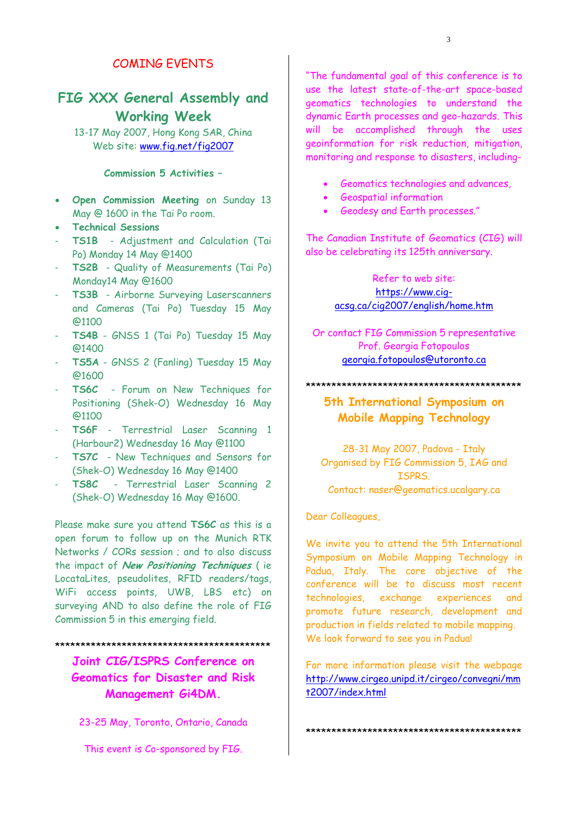# COMING EVENTS

# **FIG XXX General Assembly and Working Week**

13-17 May 2007, Hong Kong SAR, China Web site: www.fig.net/fig2007

# **Commission 5 Activities –**

- **Open Commission Meeting** on Sunday 13 May @ 1600 in the Tai Po room.
- **Technical Sessions**
- **TS1B**  Adjustment and Calculation (Tai Po) Monday 14 May @1400
- **TS2B** Quality of Measurements (Tai Po) Monday14 May @1600
- **TS3B** Airborne Surveying Laserscanners and Cameras (Tai Po) Tuesday 15 May @1100
- **TS4B** GNSS 1 (Tai Po) Tuesday 15 May @1400
- **TS5A** GNSS 2 (Fanling) Tuesday 15 May @1600
- **TS6C** Forum on New Techniques for Positioning (Shek-O) Wednesday 16 May @1100
- TS6F Terrestrial Laser Scanning 1 (Harbour2) Wednesday 16 May @1100
- **TS7C** New Techniques and Sensors for (Shek-O) Wednesday 16 May @1400
- **TS8C** Terrestrial Laser Scanning 2 (Shek-O) Wednesday 16 May @1600.

Please make sure you attend **TS6C** as this is a open forum to follow up on the Munich RTK Networks / CORs session ; and to also discuss the impact of **New Positioning Techniques** ( ie LocataLites, pseudolites, RFID readers/tags, WiFi access points, UWB, LBS etc) on surveying AND to also define the role of FIG Commission 5 in this emerging field.

\*\*\*\*\*\*\*\*\*\*\*\*\*\*\*\*\*\*\*\*\*\*\*\*\*\*\*\*\*\*\*\*\*\*\*\*\*\*\*\*\*\*

**Joint CIG/ISPRS Conference on Geomatics for Disaster and Risk Management Gi4DM.** 

23-25 May, Toronto, Ontario, Canada

This event is Co-sponsored by FIG.

"The fundamental goal of this conference is to use the latest state-of-the-art space-based geomatics technologies to understand the dynamic Earth processes and geo-hazards. This will be accomplished through the uses geoinformation for risk reduction, mitigation, monitoring and response to disasters, including-

- Geomatics technologies and advances,
- Geospatial information
- Geodesy and Earth processes."

The Canadian Institute of Geomatics (CIG) will also be celebrating its 125th anniversary.

### Refer to web site: https://www.cigacsg.ca/cig2007/english/home.htm

Or contact FIG Commission 5 representative Prof. Georgia Fotopoulos georgia.fotopoulos@utoronto.ca

\*\*\*\*\*\*\*\*\*\*\*\*\*\*\*\*\*\*\*\*\*\*\*\*\*\*\*\*\*\*\*\*\*\*\*\*\*\*\*\*\*\*

# **5th International Symposium on Mobile Mapping Technology**

28-31 May 2007, Padova - Italy Organised by FIG Commission 5, IAG and ISPRS. Contact: naser@geomatics.ucalgary.ca

Dear Colleagues,

We invite you to attend the 5th International Symposium on Mobile Mapping Technology in Padua, Italy. The core objective of the conference will be to discuss most recent technologies, exchange experiences and promote future research, development and production in fields related to mobile mapping. We look forward to see you in Padua!

For more information please visit the webpage http://www.cirgeo.unipd.it/cirgeo/convegni/mm t2007/index.html

\*\*\*\*\*\*\*\*\*\*\*\*\*\*\*\*\*\*\*\*\*\*\*\*\*\*\*\*\*\*\*\*\*\*\*\*\*\*\*\*\*\*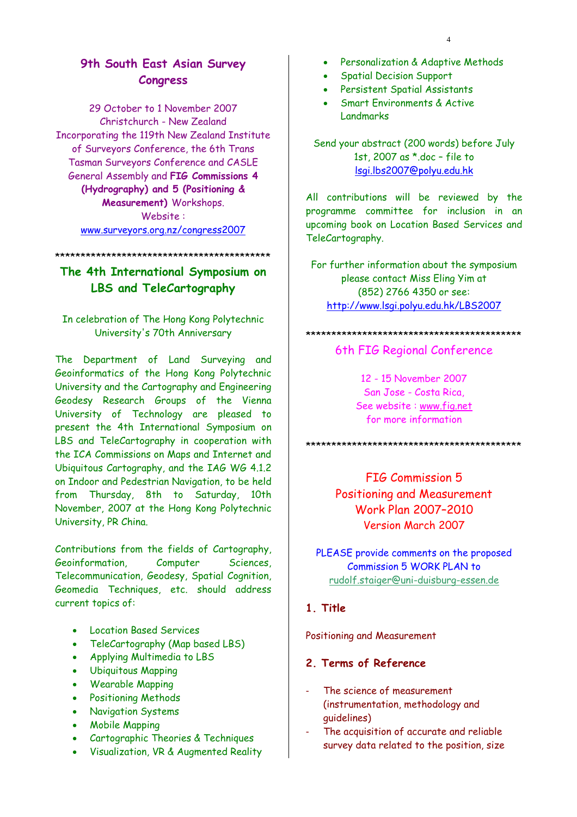# **9th South East Asian Survey Congress**

29 October to 1 November 2007 Christchurch - New Zealand Incorporating the 119th New Zealand Institute of Surveyors Conference, the 6th Trans Tasman Surveyors Conference and CASLE General Assembly and **FIG Commissions 4 (Hydrography) and 5 (Positioning & Measurement)** Workshops. Website : www.surveyors.org.nz/congress2007

\*\*\*\*\*\*\*\*\*\*\*\*\*\*\*\*\*\*\*\*\*\*\*\*\*\*\*\*\*\*\*\*\*\*\*\*\*\*\*\*\*\*

# **The 4th International Symposium on LBS and TeleCartography**

# In celebration of The Hong Kong Polytechnic University's 70th Anniversary

The Department of Land Surveying and Geoinformatics of the Hong Kong Polytechnic University and the Cartography and Engineering Geodesy Research Groups of the Vienna University of Technology are pleased to present the 4th International Symposium on LBS and TeleCartography in cooperation with the ICA Commissions on Maps and Internet and Ubiquitous Cartography, and the IAG WG 4.1.2 on Indoor and Pedestrian Navigation, to be held from Thursday, 8th to Saturday, 10th November, 2007 at the Hong Kong Polytechnic University, PR China.

Contributions from the fields of Cartography, Geoinformation, Computer Sciences, Telecommunication, Geodesy, Spatial Cognition, Geomedia Techniques, etc. should address current topics of:

- Location Based Services
- TeleCartography (Map based LBS)
- Applying Multimedia to LBS
- Ubiquitous Mapping
- Wearable Mapping
- Positioning Methods
- Navigation Systems
- Mobile Mapping
- Cartographic Theories & Techniques
- Visualization, VR & Augmented Reality
- Personalization & Adaptive Methods
- Spatial Decision Support
- Persistent Spatial Assistants
- Smart Environments & Active Landmarks

Send your abstract (200 words) before July 1st, 2007 as \*.doc – file to lsgi.lbs2007@polyu.edu.hk

All contributions will be reviewed by the programme committee for inclusion in an upcoming book on Location Based Services and TeleCartography.

For further information about the symposium please contact Miss Eling Yim at (852) 2766 4350 or see: http://www.lsgi.polyu.edu.hk/LBS2007

#### \*\*\*\*\*\*\*\*\*\*\*\*\*\*\*\*\*\*\*\*\*\*\*\*\*\*\*\*\*\*\*\*\*\*\*\*\*\*\*\*\*\*

#### 6th FIG Regional Conference

12 - 15 November 2007 San Jose - Costa Rica, See website : www.fig.net for more information

\*\*\*\*\*\*\*\*\*\*\*\*\*\*\*\*\*\*\*\*\*\*\*\*\*\*\*\*\*\*\*\*\*\*\*\*\*\*\*\*\*\*

FIG Commission 5 Positioning and Measurement Work Plan 2007–2010 Version March 2007

PLEASE provide comments on the proposed Commission 5 WORK PLAN to rudolf.staiger@uni-duisburg-essen.de

### **1. Title**

Positioning and Measurement

### **2. Terms of Reference**

- The science of measurement (instrumentation, methodology and guidelines)
- The acquisition of accurate and reliable survey data related to the position, size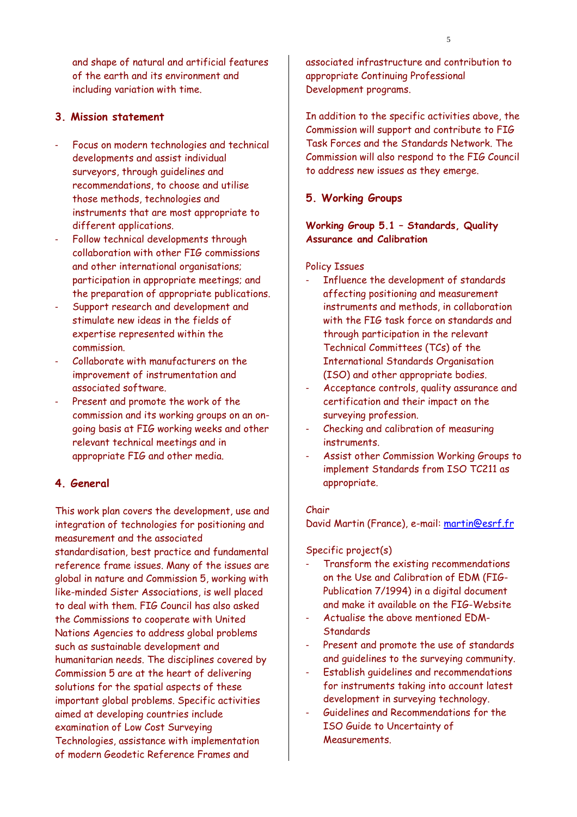and shape of natural and artificial features of the earth and its environment and including variation with time.

### **3. Mission statement**

- Focus on modern technologies and technical developments and assist individual surveyors, through guidelines and recommendations, to choose and utilise those methods, technologies and instruments that are most appropriate to different applications.
- Follow technical developments through collaboration with other FIG commissions and other international organisations; participation in appropriate meetings; and the preparation of appropriate publications.
- Support research and development and stimulate new ideas in the fields of expertise represented within the commission.
- Collaborate with manufacturers on the improvement of instrumentation and associated software.
- Present and promote the work of the commission and its working groups on an ongoing basis at FIG working weeks and other relevant technical meetings and in appropriate FIG and other media.

### **4. General**

This work plan covers the development, use and integration of technologies for positioning and measurement and the associated standardisation, best practice and fundamental reference frame issues. Many of the issues are global in nature and Commission 5, working with like-minded Sister Associations, is well placed to deal with them. FIG Council has also asked the Commissions to cooperate with United Nations Agencies to address global problems such as sustainable development and humanitarian needs. The disciplines covered by Commission 5 are at the heart of delivering solutions for the spatial aspects of these important global problems. Specific activities aimed at developing countries include examination of Low Cost Surveying Technologies, assistance with implementation of modern Geodetic Reference Frames and

associated infrastructure and contribution to appropriate Continuing Professional Development programs.

In addition to the specific activities above, the Commission will support and contribute to FIG Task Forces and the Standards Network. The Commission will also respond to the FIG Council to address new issues as they emerge.

## **5. Working Groups**

**Working Group 5.1 – Standards, Quality Assurance and Calibration** 

#### Policy Issues

- Influence the development of standards affecting positioning and measurement instruments and methods, in collaboration with the FIG task force on standards and through participation in the relevant Technical Committees (TCs) of the International Standards Organisation (ISO) and other appropriate bodies.
- Acceptance controls, quality assurance and certification and their impact on the surveying profession.
- Checking and calibration of measuring instruments.
- Assist other Commission Working Groups to implement Standards from ISO TC211 as appropriate.

#### Chair

David Martin (France), e-mail: martin@esrf.fr

#### Specific project(s)

- Transform the existing recommendations on the Use and Calibration of EDM (FIG-Publication 7/1994) in a digital document and make it available on the FIG-Website
- Actualise the above mentioned EDM-**Standards**
- Present and promote the use of standards and guidelines to the surveying community.
- Establish guidelines and recommendations for instruments taking into account latest development in surveying technology.
- Guidelines and Recommendations for the ISO Guide to Uncertainty of **Measurements**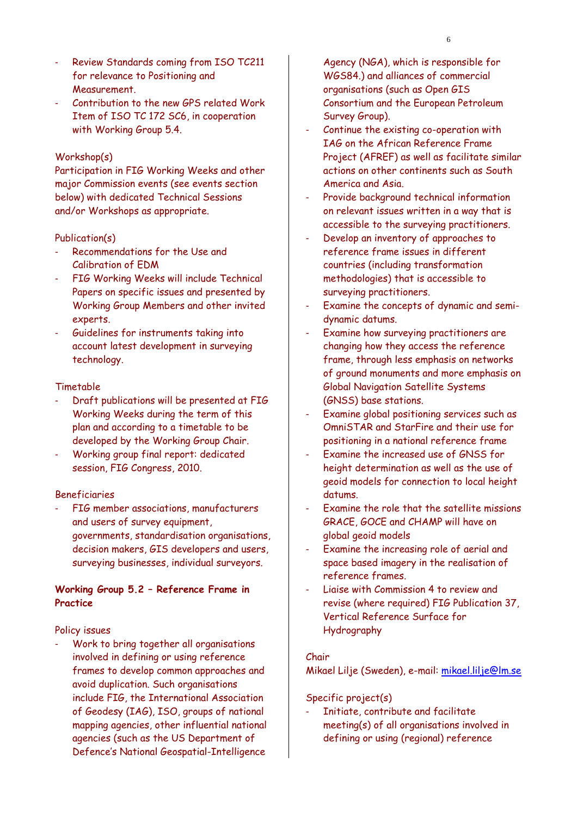- Review Standards coming from ISO TC211 for relevance to Positioning and Measurement.
- Contribution to the new GPS related Work Item of ISO TC 172 SC6, in cooperation with Working Group 5.4.

#### Workshop(s)

Participation in FIG Working Weeks and other major Commission events (see events section below) with dedicated Technical Sessions and/or Workshops as appropriate.

#### Publication(s)

- Recommendations for the Use and Calibration of EDM
- FIG Working Weeks will include Technical Papers on specific issues and presented by Working Group Members and other invited experts.
- Guidelines for instruments taking into account latest development in surveying technology.

#### Timetable

- Draft publications will be presented at FIG Working Weeks during the term of this plan and according to a timetable to be developed by the Working Group Chair.
- Working group final report: dedicated session, FIG Congress, 2010.

#### Beneficiaries

FIG member associations, manufacturers and users of survey equipment, governments, standardisation organisations, decision makers, GIS developers and users, surveying businesses, individual surveyors.

### **Working Group 5.2 – Reference Frame in Practice**

#### Policy issues

Work to bring together all organisations involved in defining or using reference frames to develop common approaches and avoid duplication. Such organisations include FIG, the International Association of Geodesy (IAG), ISO, groups of national mapping agencies, other influential national agencies (such as the US Department of Defence's National Geospatial-Intelligence

Agency (NGA), which is responsible for WGS84.) and alliances of commercial organisations (such as Open GIS Consortium and the European Petroleum Survey Group).

- Continue the existing co-operation with IAG on the African Reference Frame Project (AFREF) as well as facilitate similar actions on other continents such as South America and Asia.
- Provide background technical information on relevant issues written in a way that is accessible to the surveying practitioners.
- Develop an inventory of approaches to reference frame issues in different countries (including transformation methodologies) that is accessible to surveying practitioners.
- Examine the concepts of dynamic and semidynamic datums.
- Examine how surveying practitioners are changing how they access the reference frame, through less emphasis on networks of ground monuments and more emphasis on Global Navigation Satellite Systems (GNSS) base stations.
- Examine global positioning services such as OmniSTAR and StarFire and their use for positioning in a national reference frame
- Examine the increased use of GNSS for height determination as well as the use of geoid models for connection to local height datums.
- Examine the role that the satellite missions GRACE, GOCE and CHAMP will have on global geoid models
- Examine the increasing role of aerial and space based imagery in the realisation of reference frames.
- Liaise with Commission 4 to review and revise (where required) FIG Publication 37, Vertical Reference Surface for Hydrography

#### Chair

Mikael Lilje (Sweden), e-mail: mikael.lilje@lm.se

#### Specific project(s)

Initiate, contribute and facilitate meeting(s) of all organisations involved in defining or using (regional) reference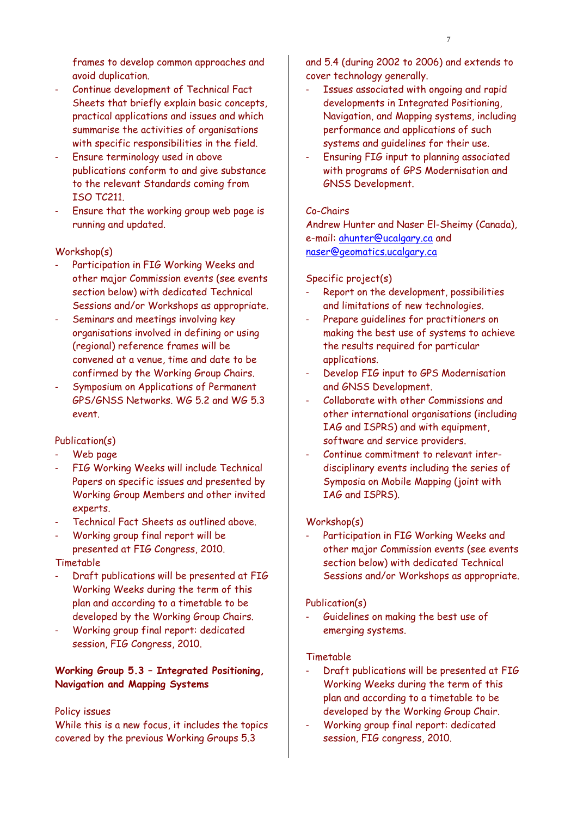frames to develop common approaches and avoid duplication.

- Continue development of Technical Fact Sheets that briefly explain basic concepts, practical applications and issues and which summarise the activities of organisations with specific responsibilities in the field.
- Ensure terminology used in above publications conform to and give substance to the relevant Standards coming from ISO TC211.
- Ensure that the working group web page is running and updated.

#### Workshop(s)

- Participation in FIG Working Weeks and other major Commission events (see events section below) with dedicated Technical Sessions and/or Workshops as appropriate.
- Seminars and meetings involving key organisations involved in defining or using (regional) reference frames will be convened at a venue, time and date to be confirmed by the Working Group Chairs.
- Symposium on Applications of Permanent GPS/GNSS Networks. WG 5.2 and WG 5.3 event.

#### Publication(s)

- Web page
- FIG Working Weeks will include Technical Papers on specific issues and presented by Working Group Members and other invited experts.
- Technical Fact Sheets as outlined above.
- Working group final report will be presented at FIG Congress, 2010.

#### Timetable

- Draft publications will be presented at FIG Working Weeks during the term of this plan and according to a timetable to be developed by the Working Group Chairs.
- Working group final report: dedicated session, FIG Congress, 2010.

### **Working Group 5.3 – Integrated Positioning, Navigation and Mapping Systems**

#### Policy issues

While this is a new focus, it includes the topics covered by the previous Working Groups 5.3

and 5.4 (during 2002 to 2006) and extends to cover technology generally.

- Issues associated with ongoing and rapid developments in Integrated Positioning, Navigation, and Mapping systems, including performance and applications of such systems and guidelines for their use.
- Ensuring FIG input to planning associated with programs of GPS Modernisation and GNSS Development.

#### Co-Chairs

Andrew Hunter and Naser El-Sheimy (Canada), e-mail: ahunter@ucalgary.ca and naser@geomatics.ucalgary.ca

#### Specific project(s)

- Report on the development, possibilities and limitations of new technologies.
- Prepare quidelines for practitioners on making the best use of systems to achieve the results required for particular applications.
- Develop FIG input to GPS Modernisation and GNSS Development.
- Collaborate with other Commissions and other international organisations (including IAG and ISPRS) and with equipment, software and service providers.
- Continue commitment to relevant interdisciplinary events including the series of Symposia on Mobile Mapping (joint with IAG and ISPRS).

#### Workshop(s)

Participation in FIG Working Weeks and other major Commission events (see events section below) with dedicated Technical Sessions and/or Workshops as appropriate.

#### Publication(s)

Guidelines on making the best use of emerging systems.

#### Timetable

- Draft publications will be presented at FIG Working Weeks during the term of this plan and according to a timetable to be developed by the Working Group Chair.
- Working group final report: dedicated session, FIG congress, 2010.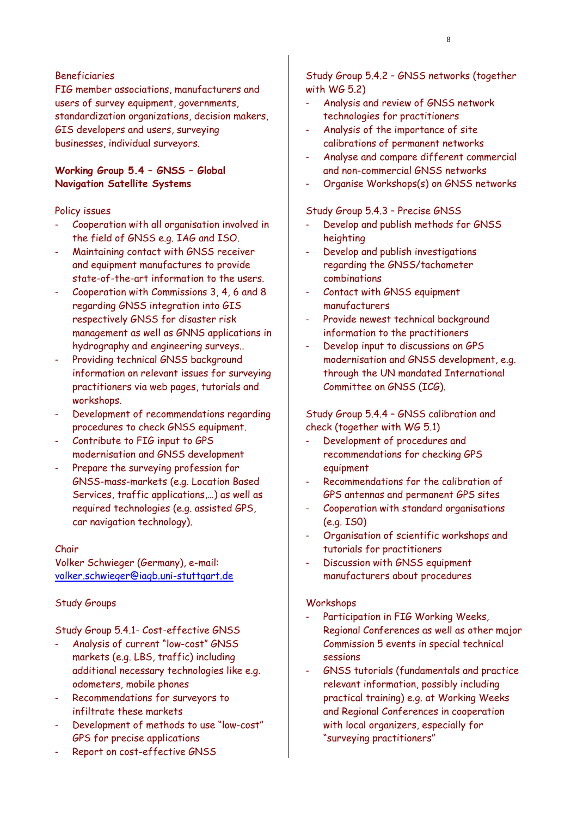FIG member associations, manufacturers and users of survey equipment, governments, standardization organizations, decision makers, GIS developers and users, surveying businesses, individual surveyors.

### **Working Group 5.4 – GNSS – Global Navigation Satellite Systems**

#### Policy issues

- Cooperation with all organisation involved in the field of GNSS e.g. IAG and ISO.
- Maintaining contact with GNSS receiver and equipment manufactures to provide state-of-the-art information to the users.
- Cooperation with Commissions 3, 4, 6 and 8 regarding GNSS integration into GIS respectively GNSS for disaster risk management as well as GNNS applications in hydrography and engineering surveys..
- Providing technical GNSS background information on relevant issues for surveying practitioners via web pages, tutorials and workshops.
- Development of recommendations regarding procedures to check GNSS equipment.
- Contribute to FIG input to GPS modernisation and GNSS development
- Prepare the surveying profession for GNSS-mass-markets (e.g. Location Based Services, traffic applications,…) as well as required technologies (e.g. assisted GPS, car navigation technology).

#### Chair

Volker Schwieger (Germany), e-mail: volker.schwieger@iagb.uni-stuttgart.de

#### Study Groups

Study Group 5.4.1- Cost-effective GNSS

- Analysis of current "low-cost" GNSS markets (e.g. LBS, traffic) including additional necessary technologies like e.g. odometers, mobile phones
- Recommendations for surveyors to infiltrate these markets
- Development of methods to use "low-cost" GPS for precise applications
- Report on cost-effective GNSS

Study Group 5.4.2 – GNSS networks (together with WG 5.2)

- Analysis and review of GNSS network technologies for practitioners
- Analysis of the importance of site calibrations of permanent networks
- Analyse and compare different commercial and non-commercial GNSS networks
- Organise Workshops(s) on GNSS networks

#### Study Group 5.4.3 – Precise GNSS

- Develop and publish methods for GNSS heighting
- Develop and publish investigations regarding the GNSS/tachometer combinations
- Contact with GNSS equipment manufacturers
- Provide newest technical background information to the practitioners
- Develop input to discussions on GPS modernisation and GNSS development, e.g. through the UN mandated International Committee on GNSS (ICG).

Study Group 5.4.4 – GNSS calibration and check (together with WG 5.1)

- Development of procedures and recommendations for checking GPS equipment
- Recommendations for the calibration of GPS antennas and permanent GPS sites
- Cooperation with standard organisations (e.g. IS0)
- Organisation of scientific workshops and tutorials for practitioners
- Discussion with GNSS equipment manufacturers about procedures

#### Workshops

- Participation in FIG Working Weeks, Regional Conferences as well as other major Commission 5 events in special technical sessions
- GNSS tutorials (fundamentals and practice relevant information, possibly including practical training) e.g. at Working Weeks and Regional Conferences in cooperation with local organizers, especially for "surveying practitioners"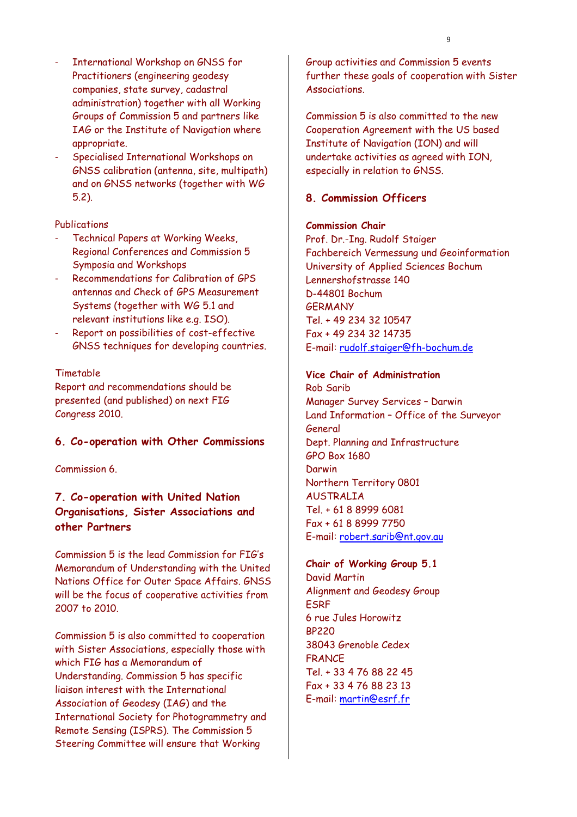- International Workshop on GNSS for Practitioners (engineering geodesy companies, state survey, cadastral administration) together with all Working Groups of Commission 5 and partners like IAG or the Institute of Navigation where appropriate.
- Specialised International Workshops on GNSS calibration (antenna, site, multipath) and on GNSS networks (together with WG 5.2).

#### Publications

- Technical Papers at Working Weeks, Regional Conferences and Commission 5 Symposia and Workshops
- Recommendations for Calibration of GPS antennas and Check of GPS Measurement Systems (together with WG 5.1 and relevant institutions like e.g. ISO).
- Report on possibilities of cost-effective GNSS techniques for developing countries.

#### Timetable

Report and recommendations should be presented (and published) on next FIG Congress 2010.

#### **6. Co-operation with Other Commissions**

Commission 6.

# **7. Co-operation with United Nation Organisations, Sister Associations and other Partners**

Commission 5 is the lead Commission for FIG's Memorandum of Understanding with the United Nations Office for Outer Space Affairs. GNSS will be the focus of cooperative activities from 2007 to 2010.

Commission 5 is also committed to cooperation with Sister Associations, especially those with which FIG has a Memorandum of Understanding. Commission 5 has specific liaison interest with the International Association of Geodesy (IAG) and the International Society for Photogrammetry and Remote Sensing (ISPRS). The Commission 5 Steering Committee will ensure that Working

Group activities and Commission 5 events further these goals of cooperation with Sister Associations.

Commission 5 is also committed to the new Cooperation Agreement with the US based Institute of Navigation (ION) and will undertake activities as agreed with ION, especially in relation to GNSS.

## **8. Commission Officers**

#### **Commission Chair**

Prof. Dr.-Ing. Rudolf Staiger Fachbereich Vermessung und Geoinformation University of Applied Sciences Bochum Lennershofstrasse 140 D-44801 Bochum **GERMANY** Tel. + 49 234 32 10547 Fax + 49 234 32 14735 E-mail: rudolf.staiger@fh-bochum.de

# **Vice Chair of Administration**

Rob Sarib Manager Survey Services – Darwin Land Information – Office of the Surveyor General Dept. Planning and Infrastructure GPO Box 1680 Darwin Northern Territory 0801 AUSTRALIA Tel. + 61 8 8999 6081 Fax + 61 8 8999 7750 E-mail: robert.sarib@nt.gov.au

#### **Chair of Working Group 5.1**

David Martin Alignment and Geodesy Group ESRF 6 rue Jules Horowitz BP220 38043 Grenoble Cedex **FRANCE** Tel. + 33 4 76 88 22 45 Fax + 33 4 76 88 23 13 E-mail: martin@esrf.fr